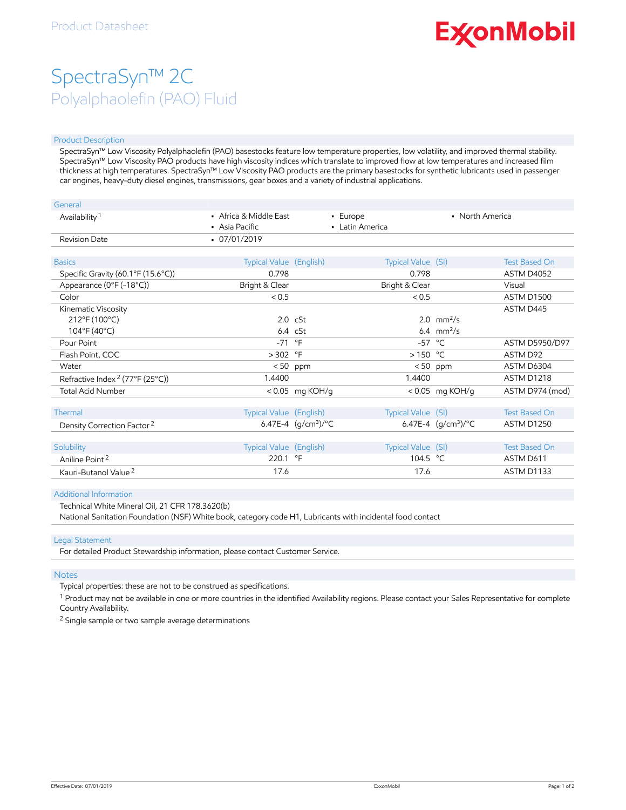# **ExconMobil**

## SpectraSyn™ 2C Polyalphaolefin (PAO) Fluid

#### Product Description

SpectraSyn™ Low Viscosity Polyalphaolefin (PAO) basestocks feature low temperature properties, low volatility, and improved thermal stability. SpectraSyn™ Low Viscosity PAO products have high viscosity indices which translate to improved flow at low temperatures and increased film thickness at high temperatures. SpectraSyn™ Low Viscosity PAO products are the primary basestocks for synthetic lubricants used in passenger car engines, heavy-duty diesel engines, transmissions, gear boxes and a variety of industrial applications.

| General                                     |                                          |                              |                             |                       |                       |
|---------------------------------------------|------------------------------------------|------------------------------|-----------------------------|-----------------------|-----------------------|
| Availability <sup>1</sup>                   | • Africa & Middle East<br>• Asia Pacific |                              | • Europe<br>• Latin America | • North America       |                       |
| <b>Revision Date</b>                        | $-07/01/2019$                            |                              |                             |                       |                       |
| <b>Basics</b>                               | Typical Value (English)                  |                              | Typical Value (SI)          |                       | <b>Test Based On</b>  |
| Specific Gravity (60.1°F (15.6°C))          | 0.798                                    |                              | 0.798                       |                       | ASTM D4052            |
| Appearance (0°F (-18°C))                    | Bright & Clear                           |                              | Bright & Clear              |                       | Visual                |
| Color                                       | < 0.5                                    |                              | < 0.5                       |                       | <b>ASTM D1500</b>     |
| Kinematic Viscosity                         |                                          |                              |                             |                       | ASTM D445             |
| 212°F (100°C)                               |                                          | $2.0 \text{ cSt}$            |                             | 2.0 $mm^2/s$          |                       |
| 104°F (40°C)                                |                                          | $6.4$ cSt                    |                             | 6.4 $mm^2/s$          |                       |
| Pour Point                                  | $-71$ °F                                 |                              | $-57$ °C                    |                       | <b>ASTM D5950/D97</b> |
| Flash Point, COC                            | $> 302$ °F                               |                              | $>150$ °C                   |                       | ASTM D92              |
| Water                                       |                                          | $< 50$ ppm                   |                             | $< 50$ ppm            | ASTM D6304            |
| Refractive Index <sup>2</sup> (77°F (25°C)) | 1.4400                                   |                              | 1.4400                      |                       | ASTM D1218            |
| <b>Total Acid Number</b>                    |                                          | <0.05 mg KOH/g               |                             | < 0.05 mg KOH/g       | ASTM D974 (mod)       |
| Thermal                                     | Typical Value (English)                  |                              | Typical Value (SI)          |                       | <b>Test Based On</b>  |
| Density Correction Factor <sup>2</sup>      |                                          | 6.47E-4 $(q/cm^3)/^{\circ}C$ |                             | 6.47E-4 $(q/cm3)$ /°C | <b>ASTM D1250</b>     |
|                                             |                                          |                              |                             |                       |                       |
| Solubility                                  | Typical Value (English)                  |                              | Typical Value (SI)          |                       | <b>Test Based On</b>  |
| Aniline Point <sup>2</sup>                  | 220.1 °F                                 |                              | 104.5 °C                    |                       | ASTM D611             |
| Kauri-Butanol Value <sup>2</sup>            | 17.6                                     |                              | 17.6                        |                       | ASTM D1133            |

#### Additional Information

Technical White Mineral Oil, 21 CFR 178.3620(b)

National Sanitation Foundation (NSF) White book, category code H1, Lubricants with incidental food contact

#### Legal Statement

For detailed Product Stewardship information, please contact Customer Service.

#### **Notes**

Typical properties: these are not to be construed as specifications.

 $^1$  Product may not be available in one or more countries in the identified Availability regions. Please contact your Sales Representative for complete Country Availability.

<sup>2</sup> Single sample or two sample average determinations